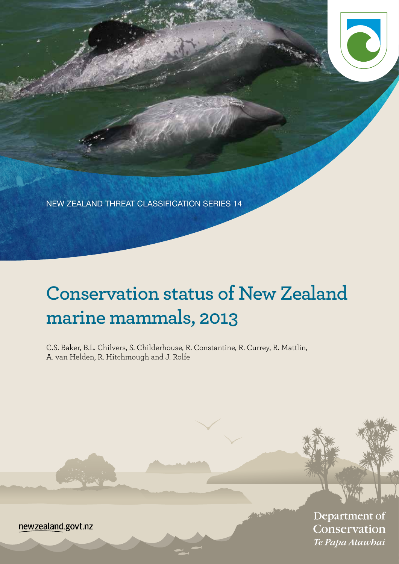NEW ZEALAND THREAT CLASSIFICATION SERIES 14

# **Conservation status of New Zealand marine mammals, 2013**

C.S. Baker, B.L. Chilvers, S. Childerhouse, R. Constantine, R. Currey, R. Mattlin, A. van Helden, R. Hitchmough and J. Rolfe

> Department of Conservation Te Papa Atawhai

newzealand.govt.nz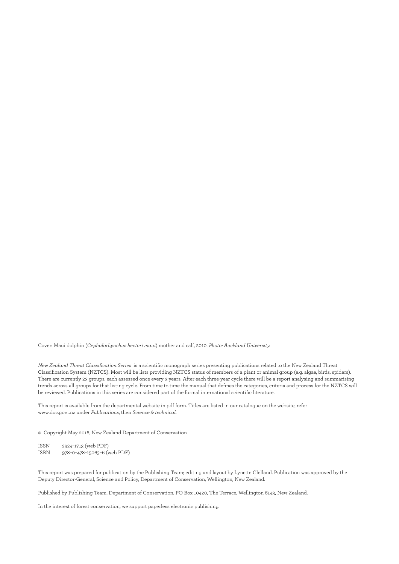Cover: Maui dolphin (*Cephalorhynchus hectori maui*) mother and calf, 2010. *Photo: Auckland University.*

*New Zealand Threat Classification Series* is a scientific monograph series presenting publications related to the New Zealand Threat Classification System (NZTCS). Most will be lists providing NZTCS status of members of a plant or animal group (e.g. algae, birds, spiders). There are currently 23 groups, each assessed once every 3 years. After each three-year cycle there will be a report analysing and summarising trends across all groups for that listing cycle. From time to time the manual that defines the categories, criteria and process for the NZTCS will be reviewed. Publications in this series are considered part of the formal international scientific literature.

This report is available from the departmental website in pdf form. Titles are listed in our catalogue on the website, refer www.doc.govt.nz under *Publications*, then *Science & technical*.

© Copyright May 2016, New Zealand Department of Conservation

ISSN 2324–1713 (web PDF) ISBN 978–0–478–15063–6 (web PDF)

This report was prepared for publication by the Publishing Team; editing and layout by Lynette Clelland. Publication was approved by the Deputy Director-General, Science and Policy, Department of Conservation, Wellington, New Zealand.

Published by Publishing Team, Department of Conservation, PO Box 10420, The Terrace, Wellington 6143, New Zealand.

In the interest of forest conservation, we support paperless electronic publishing.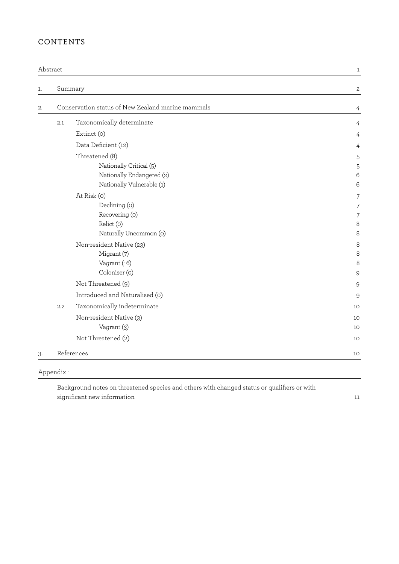### CONTENTS

|    | Abstract |                                                   | 1              |
|----|----------|---------------------------------------------------|----------------|
| 1. |          | Summary                                           | 2              |
| 2. |          | Conservation status of New Zealand marine mammals | 4              |
|    | 2.1      | Taxonomically determinate                         |                |
|    |          | Extinct (o)                                       |                |
|    |          | Data Deficient (12)                               |                |
|    |          | Threatened (8)                                    | 5              |
|    |          | Nationally Critical (5)                           | 5              |
|    |          | Nationally Endangered (2)                         | Е              |
|    |          | Nationally Vulnerable (1)                         | Е              |
|    |          | At Risk (o)                                       |                |
|    |          | Declining (0)                                     |                |
|    |          | Recovering (o)                                    |                |
|    |          | Relict (o)                                        | ε              |
|    |          | Naturally Uncommon (0)                            | S              |
|    |          | Non-resident Native (23)                          | S              |
|    |          | Migrant (7)                                       | ε              |
|    |          | Vagrant (16)<br>Coloniser (0)                     | 8<br>S         |
|    |          |                                                   |                |
|    |          | Not Threatened (9)                                | g              |
|    |          | Introduced and Naturalised (0)                    | Š              |
|    | 2.2      | Taxonomically indeterminate                       | 1 <sup>C</sup> |
|    |          | Non-resident Native (3)                           | 1 <sup>C</sup> |
|    |          | Vagrant (3)                                       | 1 <sup>C</sup> |
|    |          | Not Threatened (2)                                | 1 <sup>C</sup> |
| 3. |          | References                                        | 1C             |

[Appendix 1](#page-14-0)

[Background notes on threatened species and others with changed status or qualifiers or with](#page-14-0)  [significant new information 11](#page-14-0)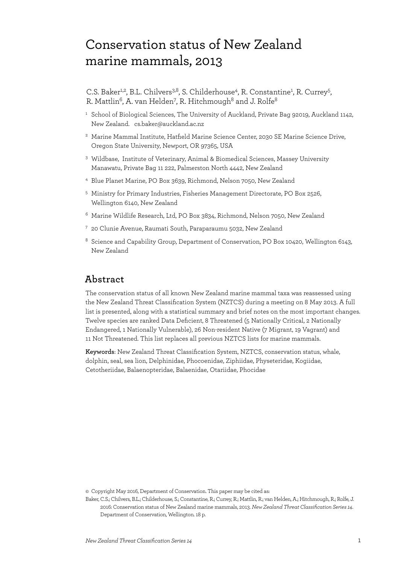## <span id="page-4-0"></span> Conservation status of New Zealand marine mammals, 2013

C.S. Baker<sup>1,2</sup>, B.L. Chilvers<sup>3,8</sup>, S. Childerhouse<sup>4</sup>, R. Constantine<sup>1</sup>, R. Currey<sup>5</sup>, R. Mattlin $^6$ , A. van Helden $^7$ , R. Hitchmough $^8$  and J. Rolfe $^8$ 

- <sup>1</sup> School of Biological Sciences, The University of Auckland, Private Bag 92019, Auckland 1142, New Zealand. cs.baker@auckland.ac.nz
- <sup>2</sup> Marine Mammal Institute, Hatfield Marine Science Center, 2030 SE Marine Science Drive, Oregon State University, Newport, OR 97365, USA
- <sup>3</sup> Wildbase, Institute of Veterinary, Animal & Biomedical Sciences, Massey University Manawatu, Private Bag 11 222, Palmerston North 4442, New Zealand
- <sup>4</sup> Blue Planet Marine, PO Box 3639, Richmond, Nelson 7050, New Zealand
- <sup>5</sup> Ministry for Primary Industries, Fisheries Management Directorate, PO Box 2526, Wellington 6140, New Zealand
- <sup>6</sup> Marine Wildlife Research, Ltd, PO Box 3834, Richmond, Nelson 7050, New Zealand
- <sup>7</sup> 20 Clunie Avenue, Raumati South, Paraparaumu 5032, New Zealand
- <sup>8</sup> Science and Capability Group, Department of Conservation, PO Box 10420, Wellington 6143, New Zealand

### **Abstract**

The conservation status of all known New Zealand marine mammal taxa was reassessed using the New Zealand Threat Classification System (NZTCS) during a meeting on 8 May 2013. A full list is presented, along with a statistical summary and brief notes on the most important changes. Twelve species are ranked Data Deficient, 8 Threatened (5 Nationally Critical, 2 Nationally Endangered, 1 Nationally Vulnerable), 26 Non-resident Native (7 Migrant, 19 Vagrant) and 11 Not Threatened. This list replaces all previous NZTCS lists for marine mammals.

**Keywords**: New Zealand Threat Classification System, NZTCS, conservation status, whale, dolphin, seal, sea lion, Delphinidae, Phocoenidae, Ziphiidae, Physeteridae, Kogiidae, Cetotheriidae, Balaenopteridae, Balaenidae, Otariidae, Phocidae

© Copyright May 2016, Department of Conservation. This paper may be cited as:

Baker, C.S.; Chilvers, B.L.; Childerhouse, S.; Constantine, R.; Currey, R.; Mattlin, R.; van Helden, A.; Hitchmough, R.; Rolfe, J. 2016: Conservation status of New Zealand marine mammals, 2013. *New Zealand Threat Classification Series 14*. Department of Conservation, Wellington. 18 p.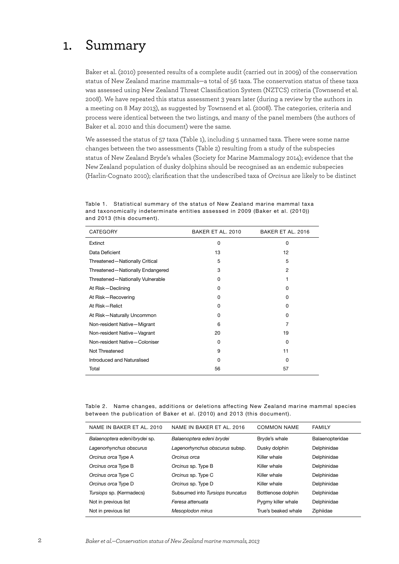## <span id="page-5-0"></span>1. Summary

Baker et al. (2010) presented results of a complete audit (carried out in 2009) of the conservation status of New Zealand marine mammals—a total of 56 taxa. The conservation status of these taxa was assessed using New Zealand Threat Classification System (NZTCS) criteria (Townsend et al. 2008). We have repeated this status assessment 3 years later (during a review by the authors in a meeting on 8 May 2013), as suggested by Townsend et al. (2008). The categories, criteria and process were identical between the two listings, and many of the panel members (the authors of Baker et al. 2010 and this document) were the same.

We assessed the status of 57 taxa (Table 1), including 5 unnamed taxa. There were some name changes between the two assessments (Table 2) resulting from a study of the subspecies status of New Zealand Bryde's whales (Society for Marine Mammalogy 2014); evidence that the New Zealand population of dusky dolphins should be recognised as an endemic subspecies (Harlin-Cognato 2010); clarification that the undescribed taxa of *Orcinus* are likely to be distinct

| CATEGORY                         | BAKER ET AL. 2010 | BAKER ET AL, 2016 |
|----------------------------------|-------------------|-------------------|
| Extinct                          | 0                 | $\Omega$          |
| Data Deficient                   | 13                | 12                |
| Threatened-Nationally Critical   | 5                 | 5                 |
| Threatened-Nationally Endangered | 3                 | 2                 |
| Threatened-Nationally Vulnerable | 0                 | 1                 |
| At Risk-Declining                | 0                 | 0                 |
| At Risk-Recovering               | 0                 | 0                 |
| At Risk-Relict                   | 0                 | 0                 |
| At Risk-Naturally Uncommon       | O                 | <sup>0</sup>      |
| Non-resident Native-Migrant      | 6                 | 7                 |
| Non-resident Native-Vagrant      | 20                | 19                |
| Non-resident Native-Coloniser    | 0                 | 0                 |
| Not Threatened                   | 9                 | 11                |
| Introduced and Naturalised       | 0                 | 0                 |
| Total                            | 56                | 57                |

Table 1. Statistical summary of the status of New Zealand marine mammal taxa and taxonomically indeterminate entities assessed in 2009 (Baker et al. (2010)) and 2013 (this document).

Table 2. Name changes, additions or deletions affecting New Zealand marine mammal species between the publication of Baker et al. (2010) and 2013 (this document).

| NAME IN BAKER ET AL. 2010     | NAME IN BAKER ET AL. 2016        | <b>COMMON NAME</b>  | <b>FAMILY</b>   |
|-------------------------------|----------------------------------|---------------------|-----------------|
| Balaenoptera edeni/brydei sp. | Balaenoptera edeni brydei        | Bryde's whale       | Balaenopteridae |
| Lagenorhynchus obscurus       | Lagenorhynchus obscurus subsp.   | Dusky dolphin       | Delphinidae     |
| Orcinus orca Type A           | Orcinus orca                     | Killer whale        | Delphinidae     |
| Orcinus orca Type B           | Orcinus sp. Type B               | Killer whale        | Delphinidae     |
| Orcinus orca Type C           | Orcinus sp. Type C               | Killer whale        | Delphinidae     |
| Orcinus orca Type D           | Orcinus sp. Type D               | Killer whale        | Delphinidae     |
| Tursiops sp. (Kermadecs)      | Subsumed into Tursiops truncatus | Bottlenose dolphin  | Delphinidae     |
| Not in previous list          | Feresa attenuata                 | Pygmy killer whale  | Delphinidae     |
| Not in previous list          | Mesoplodon mirus                 | True's beaked whale | Ziphiidae       |
|                               |                                  |                     |                 |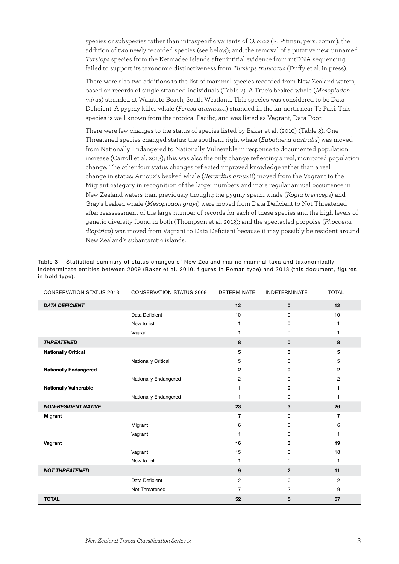species or subspecies rather than intraspecific variants of *O. orca* (R. Pitman, pers. comm); the addition of two newly recorded species (see below); and, the removal of a putative new, unnamed *Tursiops* species from the Kermadec Islands after intitial evidence from mtDNA sequencing failed to support its taxonomic distinctiveness from *Tursiops truncatus* (Duffy et al. in press).

There were also two additions to the list of mammal species recorded from New Zealand waters, based on records of single stranded individuals (Table 2). A True's beaked whale (*Mesoplodon mirus*) stranded at Waiatoto Beach, South Westland. This species was considered to be Data Deficient. A pygmy killer whale (*Feresa attenuata*) stranded in the far north near Te Paki. This species is well known from the tropical Pacific, and was listed as Vagrant, Data Poor.

There were few changes to the status of species listed by Baker et al. (2010) (Table 3). One Threatened species changed status: the southern right whale (*Eubalaena australis*) was moved from Nationally Endangered to Nationally Vulnerable in response to documented population increase (Carroll et al. 2013); this was also the only change reflecting a real, monitored population change. The other four status changes reflected improved knowledge rather than a real change in status: Arnoux's beaked whale (*Berardius arnuxii*) moved from the Vagrant to the Migrant category in recognition of the larger numbers and more regular annual occurrence in New Zealand waters than previously thought; the pygmy sperm whale (*Kogia breviceps*) and Gray's beaked whale (*Mesoplodon grayi*) were moved from Data Deficient to Not Threatened after reassessment of the large number of records for each of these species and the high levels of genetic diversity found in both (Thompson et al. 2013); and the spectacled porpoise (*Phocoena dioptrica*) was moved from Vagrant to Data Deficient because it may possibly be resident around New Zealand's subantarctic islands.

| <b>CONSERVATION STATUS 2013</b> | <b>CONSERVATION STATUS 2009</b> | <b>DETERMINATE</b> | <b>INDETERMINATE</b> | <b>TOTAL</b>   |
|---------------------------------|---------------------------------|--------------------|----------------------|----------------|
| <b>DATA DEFICIENT</b>           |                                 | 12                 | $\mathbf 0$          | 12             |
|                                 | Data Deficient                  | 10                 | 0                    | 10             |
|                                 | New to list                     | $\mathbf{1}$       | 0                    | 1              |
|                                 | Vagrant                         | 1                  | 0                    | 1              |
| <b>THREATENED</b>               |                                 | 8                  | $\mathbf 0$          | 8              |
| <b>Nationally Critical</b>      |                                 | 5                  | 0                    | 5              |
|                                 | <b>Nationally Critical</b>      | 5                  | 0                    | 5              |
| <b>Nationally Endangered</b>    |                                 | $\mathbf{2}$       | 0                    | $\mathbf{2}$   |
|                                 | Nationally Endangered           | 2                  | 0                    | $\overline{c}$ |
| <b>Nationally Vulnerable</b>    |                                 | 1                  | 0                    | 1              |
|                                 | Nationally Endangered           | 1                  | 0                    | 1              |
| <b>NON-RESIDENT NATIVE</b>      |                                 | 23                 | 3                    | 26             |
| <b>Migrant</b>                  |                                 | $\overline{7}$     | 0                    | 7              |
|                                 | Migrant                         | 6                  | 0                    | 6              |
|                                 | Vagrant                         | 1                  | 0                    | 1              |
| Vagrant                         |                                 | 16                 | 3                    | 19             |
|                                 | Vagrant                         | 15                 | 3                    | 18             |
|                                 | New to list                     | 1                  | 0                    | $\mathbf{1}$   |
| <b>NOT THREATENED</b>           |                                 | 9                  | $\mathbf{2}$         | 11             |
|                                 | Data Deficient                  | $\overline{2}$     | 0                    | 2              |
|                                 | Not Threatened                  | $\overline{7}$     | $\overline{c}$       | 9              |
| <b>TOTAL</b>                    |                                 | 52                 | 5                    | 57             |

Table 3. Statistical summary of status changes of New Zealand marine mammal taxa and taxonomically indeterminate entities between 2009 (Baker et al. 2010, figures in Roman type) and 2013 (this document, figures in bold type).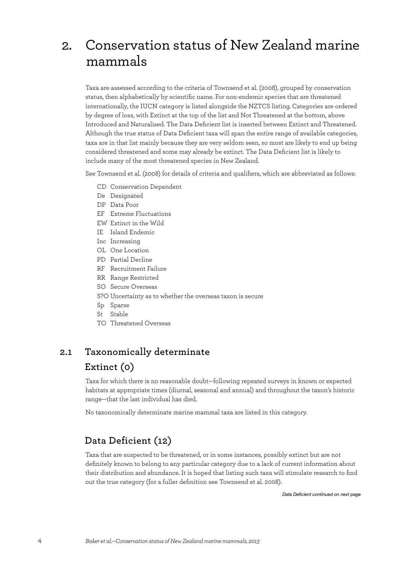## <span id="page-7-0"></span>2. Conservation status of New Zealand marine mammals

Taxa are assessed according to the criteria of Townsend et al. (2008), grouped by conservation status, then alphabetically by scientific name. For non-endemic species that are threatened internationally, the IUCN category is listed alongside the NZTCS listing. Categories are ordered by degree of loss, with Extinct at the top of the list and Not Threatened at the bottom, above Introduced and Naturalised. The Data Deficient list is inserted between Extinct and Threatened. Although the true status of Data Deficient taxa will span the entire range of available categories, taxa are in that list mainly because they are very seldom seen, so most are likely to end up being considered threatened and some may already be extinct. The Data Deficient list is likely to include many of the most threatened species in New Zealand.

See Townsend et al. (2008) for details of criteria and qualifiers, which are abbreviated as follows:

- CD Conservation Dependent
- De Designated
- DP Data Poor
- EF Extreme Fluctuations
- EW Extinct in the Wild
- IE Island Endemic
- Inc Increasing
- OL One Location
- PD Partial Decline
- RF Recruitment Failure
- RR Range Restricted
- SO Secure Overseas
- S?O Uncertainty as to whether the overseas taxon is secure
- Sp Sparse
- St Stable
- TO Threatened Overseas

## **2.1 Taxonomically determinate**

## **Extinct (0)**

Taxa for which there is no reasonable doubt—following repeated surveys in known or expected habitats at appropriate times (diurnal, seasonal and annual) and throughout the taxon's historic range—that the last individual has died.

No taxonomically determinate marine mammal taxa are listed in this category.

### **Data Deficient (12)**

Taxa that are suspected to be threatened, or in some instances, possibly extinct but are not definitely known to belong to any particular category due to a lack of current information about their distribution and abundance. It is hoped that listing such taxa will stimulate research to find out the true category (for a fuller definition see Townsend et al. 2008).

*Data Deficient continued on next page*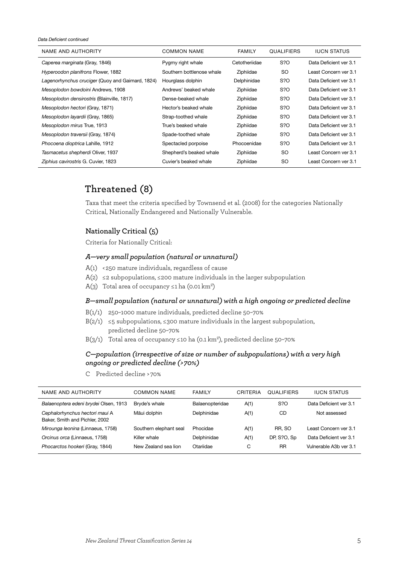<span id="page-8-0"></span>*Data Deficient continued*

| NAME AND AUTHORITY                               | COMMON NAME               | <b>FAMILY</b> | <b>QUALIFIERS</b> | <b>IUCN STATUS</b>     |
|--------------------------------------------------|---------------------------|---------------|-------------------|------------------------|
| Caperea marginata (Gray, 1846)                   | Pygmy right whale         | Cetotheriidae | S?O               | Data Deficient ver 3.1 |
| Hyperoodon planifrons Flower, 1882               | Southern bottlenose whale | Ziphiidae     | <b>SO</b>         | Least Concern ver 3.1  |
| Lagenorhynchus cruciger (Quoy and Gaimard, 1824) | Hourglass dolphin         | Delphinidae   | S?O               | Data Deficient ver 3.1 |
| Mesoplodon bowdoini Andrews, 1908                | Andrews' beaked whale     | Ziphiidae     | S?O               | Data Deficient ver 3.1 |
| Mesoplodon densirostris (Blainville, 1817)       | Dense-beaked whale        | Ziphiidae     | S?O               | Data Deficient ver 3.1 |
| Mesoplodon hectori (Gray, 1871)                  | Hector's beaked whale     | Ziphiidae     | S?O               | Data Deficient ver 3.1 |
| Mesoplodon layardii (Gray, 1865)                 | Strap-toothed whale       | Ziphiidae     | S?O               | Data Deficient ver 3.1 |
| Mesoplodon mirus True, 1913                      | True's beaked whale       | Ziphiidae     | S?O               | Data Deficient ver 3.1 |
| Mesoplodon traversii (Gray, 1874)                | Spade-toothed whale       | Ziphiidae     | S?O               | Data Deficient ver 3.1 |
| Phocoena dioptrica Lahille, 1912                 | Spectacled porpoise       | Phocoenidae   | S?O               | Data Deficient ver 3.1 |
| Tasmacetus shepherdi Oliver, 1937                | Shepherd's beaked whale   | Ziphiidae     | <b>SO</b>         | Least Concern ver 3.1  |
| Ziphius cavirostris G. Cuvier, 1823              | Cuvier's beaked whale     | Ziphiidae     | SO.               | Least Concern ver 3.1  |

### **Threatened (8)**

Taxa that meet the criteria specified by Townsend et al. (2008) for the categories Nationally Critical, Nationally Endangered and Nationally Vulnerable.

### **Nationally Critical (5)**

Criteria for Nationally Critical:

### *A—very small population (natural or unnatural)*

- $A(1)$  < 250 mature individuals, regardless of cause
- A(2)  $\leq$  2 subpopulations,  $\leq$  200 mature individuals in the larger subpopulation
- A(3) Total area of occupancy  $\leq$ 1 ha (0.01 km<sup>2</sup>)

### *B—small population (natural or unnatural) with a high ongoing or predicted decline*

- B(1/1) 250–1000 mature individuals, predicted decline 50–70%
- B(2/1)  $\leq$ 5 subpopulations,  $\leq$ 300 mature individuals in the largest subpopulation, predicted decline 50–70%
- B $(3/1)$  Total area of occupancy ≤10 ha (0.1 km<sup>2</sup>), predicted decline 50-70%

### *C—population (irrespective of size or number of subpopulations) with a very high ongoing or predicted decline (> 70%)*

C Predicted decline > 70%

| NAME AND AUTHORITY                                               | COMMON NAME            | <b>FAMILY</b>   | CRITERIA | <b>QUALIFIERS</b> | <b>IUCN STATUS</b>     |
|------------------------------------------------------------------|------------------------|-----------------|----------|-------------------|------------------------|
| Balaenoptera edeni brydei Olsen, 1913                            | Bryde's whale          | Balaenopteridae | A(1)     | S?O               | Data Deficient ver 3.1 |
| Cephalorhynchus hectori maui A<br>Baker, Smith and Pichler, 2002 | Māui dolphin           | Delphinidae     | A(1)     | CD                | Not assessed           |
| Mirounga leonina (Linnaeus, 1758)                                | Southern elephant seal | Phocidae        | A(1)     | RR. SO            | Least Concern ver 3.1  |
| Orcinus orca (Linnaeus, 1758)                                    | Killer whale           | Delphinidae     | A(1)     | DP, S?O, Sp       | Data Deficient ver 3.1 |
| Phocarctos hookeri (Gray, 1844)                                  | New Zealand sea lion   | Otariidae       | C        | <b>RR</b>         | Vulnerable A3b ver 3.1 |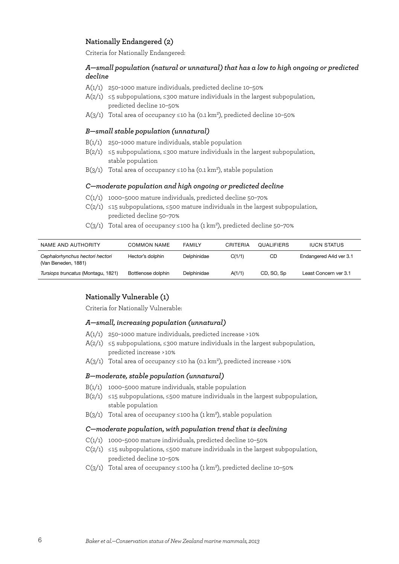### <span id="page-9-0"></span> **Nationally Endangered (2)**

Criteria for Nationally Endangered:

### *A—small population (natural or unnatural) that has a low to high ongoing or predicted decline*

- A(1/1) 250–1000 mature individuals, predicted decline 10–50%
- A(2/1)  $\leq$ 5 subpopulations,  $\leq$ 300 mature individuals in the largest subpopulation, predicted decline 10–50%
- A( $3/1$ ) Total area of occupancy ≤10 ha (0.1 km<sup>2</sup>), predicted decline 10-50%

### *B—small stable population (unnatural)*

- B(1/1) 250–1000 mature individuals, stable population
- B(2/1)  $\leq$ 5 subpopulations,  $\leq$ 300 mature individuals in the largest subpopulation, stable population
- B(3/1) Total area of occupancy ≤10 ha (0.1 km<sup>2</sup>), stable population

### *C—moderate population and high ongoing or predicted decline*

- C(1/1) 1000–5000 mature individuals, predicted decline 50–70%
- $C(2/1)$  ≤15 subpopulations, ≤500 mature individuals in the largest subpopulation, predicted decline 50–70%
- $C(3/1)$  Total area of occupancy ≤100 ha (1 km<sup>2</sup>), predicted decline 50-70%

| NAME AND AUTHORITY                                     | COMMON NAME        | <b>FAMILY</b> | CRITERIA | <b>QUALIFIERS</b> | <b>IUCN STATUS</b>     |
|--------------------------------------------------------|--------------------|---------------|----------|-------------------|------------------------|
| Cephalorhynchus hectori hectori<br>(Van Beneden, 1881) | Hector's dolphin   | Delphinidae   | C(1/1)   | CD                | Endangered A4d ver 3.1 |
| Tursiops truncatus (Montagu, 1821)                     | Bottlenose dolphin | Delphinidae   | A(1/1)   | CD, SO, Sp        | Least Concern ver 3.1  |

### **Nationally Vulnerable (1)**

Criteria for Nationally Vulnerable:

### *A—small, increasing population (unnatural)*

- $A(1/1)$  250-1000 mature individuals, predicted increase >10%
- A(2/1)  $\leq$ 5 subpopulations,  $\leq$ 300 mature individuals in the largest subpopulation, predicted increase > 10%
- A(3/1) Total area of occupancy ≤10 ha (0.1 km<sup>2</sup>), predicted increase >10%

### *B—moderate, stable population (unnatural)*

- B(1/1) 1000–5000 mature individuals, stable population
- B(2/1)  $\leq$  15 subpopulations,  $\leq$ 500 mature individuals in the largest subpopulation, stable population
- B(3/1) Total area of occupancy  $\leq$ 100 ha (1 km<sup>2</sup>), stable population

### *C—moderate population, with population trend that is declining*

- C(1/1) 1000–5000 mature individuals, predicted decline 10–50%
- $C(2/1)$  ≤15 subpopulations, ≤500 mature individuals in the largest subpopulation, predicted decline 10–50%
- C(3/1) Total area of occupancy ≤100 ha (1 km<sup>2</sup>), predicted decline 10-50%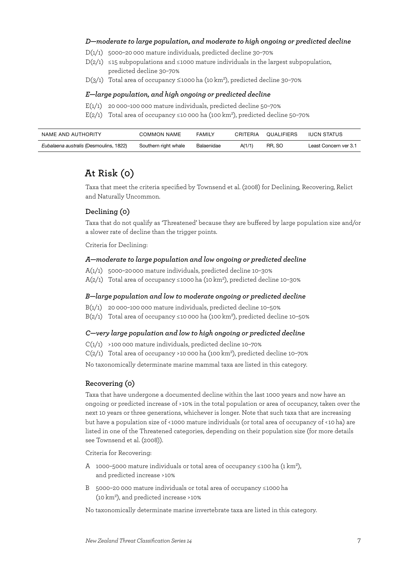### <span id="page-10-0"></span> *D—moderate to large population, and moderate to high ongoing or predicted decline*

- D(1/1) 5000–20 000 mature individuals, predicted decline 30–70%
- $D(2/1) \leq 15$  subpopulations and ≤1000 mature individuals in the largest subpopulation, predicted decline 30–70%
- D(3/1) Total area of occupancy  $\leq$ 1000 ha (10 km<sup>2</sup>), predicted decline 30-70%

### *E—large population, and high ongoing or predicted decline*

- $E(1/1)$  20 000-100 000 mature individuals, predicted decline 50-70%
- E(2/1) Total area of occupancy ≤10 000 ha (100 km<sup>2</sup>), predicted decline 50-70%

| NAME AND AUTHORITY                     | COMMON NAME          | <b>FAMILY</b> | CRITERIA | QUALIFIERS | IUCN STATUS           |
|----------------------------------------|----------------------|---------------|----------|------------|-----------------------|
| Eubalaena australis (Desmoulins, 1822) | Southern right whale | Balaenidae    | A(1/1)   | RR. SO     | Least Concern ver 3.1 |

## **At Risk (0)**

Taxa that meet the criteria specified by Townsend et al. (2008) for Declining, Recovering, Relict and Naturally Uncommon.

### **Declining (0)**

Taxa that do not qualify as 'Threatened' because they are buffered by large population size and/or a slower rate of decline than the trigger points.

Criteria for Declining:

### *A—moderate to large population and low ongoing or predicted decline*

- A(1/1) 5000–20 000 mature individuals, predicted decline 10–30%
- A( $2/1$ ) Total area of occupancy ≤1000 ha (10 km<sup>2</sup>), predicted decline 10-30%

### *B—large population and low to moderate ongoing or predicted decline*

- B(1/1) 20 000–100 000 mature individuals, predicted decline 10–50%
- B( $2/1$ ) Total area of occupancy ≤10 000 ha (100 km<sup>2</sup>), predicted decline 10-50%

### *C—very large population and low to high ongoing or predicted decline*

 $C(1/1)$  >100 000 mature individuals, predicted decline 10-70%

 $C(2/1)$  Total area of occupancy >10 000 ha (100 km<sup>2</sup>), predicted decline 10-70%

No taxonomically determinate marine mammal taxa are listed in this category.

### **Recovering (0)**

Taxa that have undergone a documented decline within the last 1000 years and now have an ongoing or predicted increase of > 10% in the total population or area of occupancy, taken over the next 10 years or three generations, whichever is longer. Note that such taxa that are increasing but have a population size of < 1000 mature individuals (or total area of occupancy of < 10 ha) are listed in one of the Threatened categories, depending on their population size (for more details see Townsend et al. (2008)).

Criteria for Recovering:

- A 1000–5000 mature individuals or total area of occupancy  $\leq$ 100 ha (1 km<sup>2</sup>), and predicted increase >10%
- B 5000–20 000 mature individuals or total area of occupancy ≤ 1000 ha (10  $km^2$ ), and predicted increase > $10\%$

No taxonomically determinate marine invertebrate taxa are listed in this category.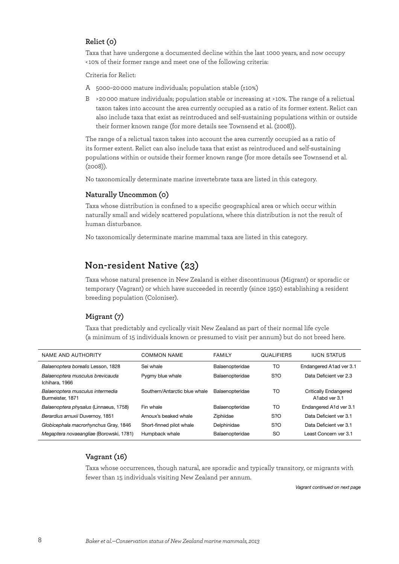### <span id="page-11-0"></span> **Relict (0)**

Taxa that have undergone a documented decline within the last 1000 years, and now occupy < 10% of their former range and meet one of the following criteria:

Criteria for Relict:

- A 5000–20 000 mature individuals; population stable (±10%)
- B > 20 000 mature individuals; population stable or increasing at > 10%. The range of a relictual taxon takes into account the area currently occupied as a ratio of its former extent. Relict can also include taxa that exist as reintroduced and self-sustaining populations within or outside their former known range (for more details see Townsend et al. (2008)).

The range of a relictual taxon takes into account the area currently occupied as a ratio of its former extent. Relict can also include taxa that exist as reintroduced and self-sustaining populations within or outside their former known range (for more details see Townsend et al. (2008)).

No taxonomically determinate marine invertebrate taxa are listed in this category.

### **Naturally Uncommon (0)**

Taxa whose distribution is confined to a specific geographical area or which occur within naturally small and widely scattered populations, where this distribution is not the result of human disturbance.

No taxonomically determinate marine mammal taxa are listed in this category.

### **Non-resident Native (23)**

Taxa whose natural presence in New Zealand is either discontinuous (Migrant) or sporadic or temporary (Vagrant) or which have succeeded in recently (since 1950) establishing a resident breeding population (Coloniser).

### **Migrant (7)**

Taxa that predictably and cyclically visit New Zealand as part of their normal life cycle (a minimum of 15 individuals known or presumed to visit per annum) but do not breed here.

| NAME AND AUTHORITY                                   | <b>COMMON NAME</b>            | <b>FAMILY</b>   | <b>QUALIFIERS</b> | <b>IUCN STATUS</b>                     |
|------------------------------------------------------|-------------------------------|-----------------|-------------------|----------------------------------------|
| Balaenoptera borealis Lesson, 1828                   | Sei whale                     | Balaenopteridae | TO                | Endangered A1ad ver 3.1                |
| Balaenoptera musculus brevicauda<br>Ichihara, 1966   | Pygmy blue whale              | Balaenopteridae | S?O               | Data Deficient ver 2.3                 |
| Balaenoptera musculus intermedia<br>Burmeister, 1871 | Southern/Antarctic blue whale | Balaenopteridae | TO                | Critically Endangered<br>A1abd ver 3.1 |
| Balaenoptera physalus (Linnaeus, 1758)               | Fin whale                     | Balaenopteridae | TO                | Endangered A1d ver 3.1                 |
| Berardius arnuxii Duvernoy, 1851                     | Arnoux's beaked whale         | Ziphiidae       | S?O               | Data Deficient ver 3.1                 |
| Globicephala macrorhynchus Gray, 1846                | Short-finned pilot whale      | Delphinidae     | S?O               | Data Deficient ver 3.1                 |
| Megaptera novaeangliae (Borowski, 1781)              | Humpback whale                | Balaenopteridae | SO.               | Least Concern ver 3.1                  |
|                                                      |                               |                 |                   |                                        |

### **Vagrant (16)**

Taxa whose occurrences, though natural, are sporadic and typically transitory, or migrants with fewer than 15 individuals visiting New Zealand per annum.

*Vagrant continued on next page*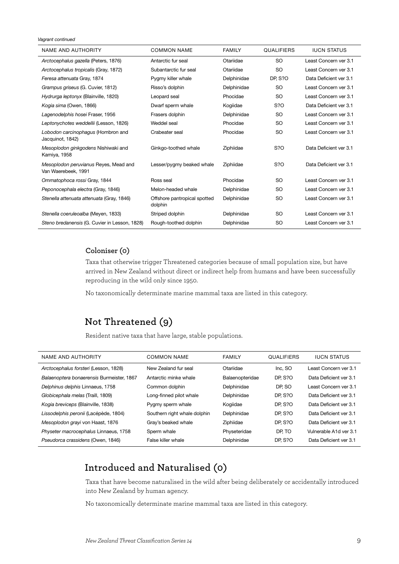<span id="page-12-0"></span>*Vagrant continued*

| NAME AND AUTHORITY                                           | <b>COMMON NAME</b>                      | <b>FAMILY</b> | <b>QUALIFIERS</b> | <b>IUCN STATUS</b>     |
|--------------------------------------------------------------|-----------------------------------------|---------------|-------------------|------------------------|
| Arctocephalus gazella (Peters, 1876)                         | Antarctic fur seal                      | Otariidae     | <b>SO</b>         | Least Concern ver 3.1  |
| Arctocephalus tropicalis (Gray, 1872)                        | Subantarctic fur seal                   | Otariidae     | <b>SO</b>         | Least Concern ver 3.1  |
| Feresa attenuata Gray, 1874                                  | Pygmy killer whale                      | Delphinidae   | <b>DP, S?O</b>    | Data Deficient ver 3.1 |
| Grampus griseus (G. Cuvier, 1812)                            | Risso's dolphin                         | Delphinidae   | <b>SO</b>         | Least Concern ver 3.1  |
| Hydrurga leptonyx (Blainville, 1820)                         | Leopard seal                            | Phocidae      | <b>SO</b>         | Least Concern ver 3.1  |
| Kogia sima (Owen, 1866)                                      | Dwarf sperm whale                       | Kogiidae      | S <sub>2</sub> O  | Data Deficient ver 3.1 |
| Lagenodelphis hosei Fraser, 1956                             | Frasers dolphin                         | Delphinidae   | <b>SO</b>         | Least Concern ver 3.1  |
| Leptonychotes weddellii (Lesson, 1826)                       | Weddel seal                             | Phocidae      | <b>SO</b>         | Least Concern ver 3.1  |
| Lobodon carcinophagus (Hombron and<br>Jacquinot, 1842)       | Crabeater seal                          | Phocidae      | <b>SO</b>         | Least Concern ver 3.1  |
| Mesoplodon ginkgodens Nishiwaki and<br>Kamiya, 1958          | Ginkgo-toothed whale                    | Ziphiidae     | S?O               | Data Deficient ver 3.1 |
| Mesoplodon peruvianus Reyes, Mead and<br>Van Waerebeek, 1991 | Lesser/pygmy beaked whale               | Ziphiidae     | S <sub>2</sub> O  | Data Deficient ver 3.1 |
| Ommatophoca rossi Gray, 1844                                 | Ross seal                               | Phocidae      | <b>SO</b>         | Least Concern ver 3.1  |
| Peponocephala electra (Gray, 1846)                           | Melon-headed whale                      | Delphinidae   | <b>SO</b>         | Least Concern ver 3.1  |
| Stenella attenuata attenuata (Gray, 1846)                    | Offshore pantropical spotted<br>dolphin | Delphinidae   | <b>SO</b>         | Least Concern ver 3.1  |
| Stenella coeruleoalba (Meyen, 1833)                          | Striped dolphin                         | Delphinidae   | <b>SO</b>         | Least Concern ver 3.1  |
| Steno bredanensis (G. Cuvier in Lesson, 1828)                | Rough-toothed dolphin                   | Delphinidae   | <b>SO</b>         | Least Concern ver 3.1  |

### **Coloniser (0)**

Taxa that otherwise trigger Threatened categories because of small population size, but have arrived in New Zealand without direct or indirect help from humans and have been successfully reproducing in the wild only since 1950.

No taxonomically determinate marine mammal taxa are listed in this category.

## **Not Threatened (9)**

Resident native taxa that have large, stable populations.

| NAME AND AUTHORITY                        | <b>COMMON NAME</b>           | <b>FAMILY</b>   | <b>QUALIFIERS</b> | <b>IUCN STATUS</b>     |
|-------------------------------------------|------------------------------|-----------------|-------------------|------------------------|
| Arctocephalus forsteri (Lesson, 1828)     | New Zealand fur seal         | Otariidae       | Inc. SO           | Least Concern ver 3.1  |
| Balaenoptera bonaerensis Burmeister, 1867 | Antarctic minke whale        | Balaenopteridae | DP, S?O           | Data Deficient ver 3.1 |
| Delphinus delphis Linnaeus, 1758          | Common dolphin               | Delphinidae     | DP. SO            | Least Concern ver 3.1  |
| Globicephala melas (Traill, 1809)         | Long-finned pilot whale      | Delphinidae     | <b>DP. S?O</b>    | Data Deficient ver 3.1 |
| Kogia breviceps (Blainville, 1838)        | Pygmy sperm whale            | Kogiidae        | <b>DP, S?O</b>    | Data Deficient ver 3.1 |
| Lissodelphis peronii (Lacépède, 1804)     | Southern right whale dolphin | Delphinidae     | <b>DP. S?O</b>    | Data Deficient ver 3.1 |
| Mesoplodon grayi von Haast, 1876          | Gray's beaked whale          | Ziphiidae       | <b>DP. S?O</b>    | Data Deficient ver 3.1 |
| Physeter macrocephalus Linnaeus, 1758     | Sperm whale                  | Physeteridae    | DP. TO            | Vulnerable A1d ver 3.1 |
| Pseudorca crassidens (Owen, 1846)         | False killer whale           | Delphinidae     | <b>DP. S?O</b>    | Data Deficient ver 3.1 |

## **Introduced and Naturalised (0)**

Taxa that have become naturalised in the wild after being deliberately or accidentally introduced into New Zealand by human agency.

No taxonomically determinate marine mammal taxa are listed in this category.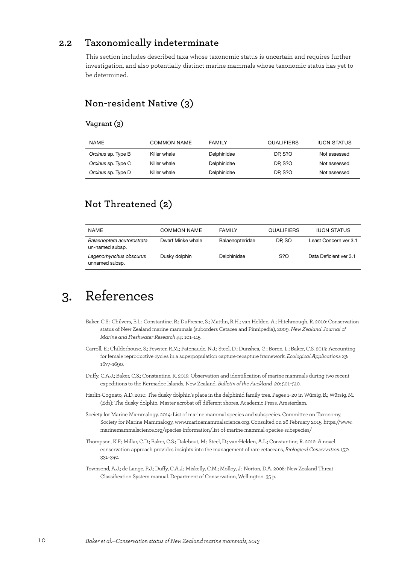### <span id="page-13-0"></span>**2.2 Taxonomically indeterminate**

This section includes described taxa whose taxonomic status is uncertain and requires further investigation, and also potentially distinct marine mammals whose taxonomic status has yet to be determined.

## **Non-resident Native (3)**

### **Vagrant (3)**

| <b>NAME</b>        | COMMON NAME  | <b>FAMILY</b> | <b>QUALIFIERS</b> | <b>IUCN STATUS</b> |
|--------------------|--------------|---------------|-------------------|--------------------|
| Orcinus sp. Type B | Killer whale | Delphinidae   | DP. S?O           | Not assessed       |
| Orcinus sp. Type C | Killer whale | Delphinidae   | DP. S?O           | Not assessed       |
| Orcinus sp. Type D | Killer whale | Delphinidae   | DP. S?O           | Not assessed       |

## **Not Threatened (2)**

| <b>NAME</b>                                   | COMMON NAME       | <b>FAMILY</b>   | QUALIFIERS | <b>IUCN STATUS</b>     |
|-----------------------------------------------|-------------------|-----------------|------------|------------------------|
| Balaenoptera acutorostrata<br>un-named subsp. | Dwarf Minke whale | Balaenopteridae | DP. SO     | Least Concern ver 3.1  |
| Lagenorhynchus obscurus<br>unnamed subsp.     | Dusky dolphin     | Delphinidae     | S?O        | Data Deficient ver 3.1 |

## 3. References

- Baker, C.S.; Chilvers, B.L.; Constantine, R.; DuFresne, S.; Mattlin, R.H.; van Helden, A.; Hitchmough, R. 2010: Conservation status of New Zealand marine mammals (suborders Cetacea and Pinnipedia), 2009. *New Zealand Journal of Marine and Freshwater Research 44*: 101–115.
- Carroll, E.; Childerhouse, S.; Fewster, R.M.; Patenaude, N.J.; Steel, D.; Dunshea, G.; Boren, L.; Baker, C.S. 2013: Accounting for female reproductive cycles in a superpopulation capture-recapture framework. *Ecological Applications 23*: 1677–1690.
- Duffy, C.A.J.; Baker, C.S.; Constantine, R. 2015: Observation and identification of marine mammals during two recent expeditions to the Kermadec Islands, New Zealand. *Bulletin of the Auckland 20*: 501–510.
- Harlin-Cognato, A.D. 2010: The dusky dolphin's place in the delphinid family tree. Pages 1–20 in Würsig, B.; Würsig, M. (Eds): The dusky dolphin. Master acrobat off different shores. Academic Press, Amsterdam.
- Society for Marine Mammalogy. 2014: List of marine mammal species and subspecies. Committee on Taxonomy, Society for Marine Mammalogy, www.marinemammalscience.org. Consulted on 26 February 2015. https://www. marinemammalscience.org/species-information/list-of-marine-mammal-species-subspecies/
- Thompson, K.F.; Millar, C.D.; Baker, C.S.; Dalebout, M.; Steel, D.; van-Helden, A.L.; Constantine, R. 2012: A novel conservation approach provides insights into the management of rare cetaceans, *Biological Conservation 157*: 331–340.
- Townsend, A.J.; de Lange, P.J.; Duffy, C.A.J.; Miskelly, C.M.; Molloy, J.; Norton, D.A. 2008: New Zealand Threat Classification System manual. Department of Conservation, Wellington. 35 p.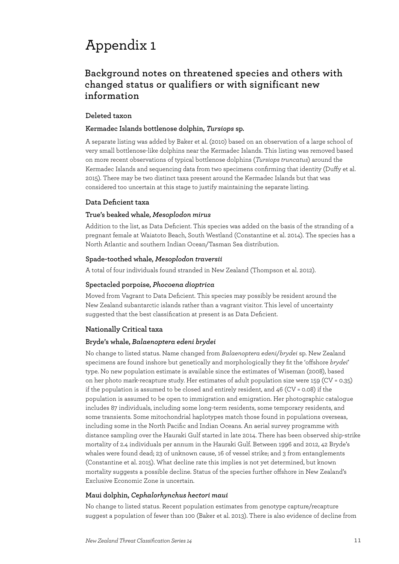## <span id="page-14-0"></span>Appendix 1

## **Background notes on threatened species and others with changed status or qualifiers or with significant new information**

### **Deleted taxon**

### **Kermadec Islands bottlenose dolphin,** *Tursiops* **sp.**

A separate listing was added by Baker et al. (2010) based on an observation of a large school of very small bottlenose-like dolphins near the Kermadec Islands. This listing was removed based on more recent observations of typical bottlenose dolphins (*Tursiops truncatus*) around the Kermadec Islands and sequencing data from two specimens confirming that identity (Duffy et al. 2015). There may be two distinct taxa present around the Kermadec Islands but that was considered too uncertain at this stage to justify maintaining the separate listing.

### **Data Deficient taxa**

### **True's beaked whale,** *Mesoplodon mirus*

Addition to the list, as Data Deficient. This species was added on the basis of the stranding of a pregnant female at Waiatoto Beach, South Westland (Constantine et al. 2014). The species has a North Atlantic and southern Indian Ocean/Tasman Sea distribution.

### **Spade-toothed whale,** *Mesoplodon traversii*

A total of four individuals found stranded in New Zealand (Thompson et al. 2012).

### **Spectacled porpoise,** *Phocoena dioptrica*

Moved from Vagrant to Data Deficient. This species may possibly be resident around the New Zealand subantarctic islands rather than a vagrant visitor. This level of uncertainty suggested that the best classification at present is as Data Deficient.

### **Nationally Critical taxa**

### **Bryde's whale,** *Balaenoptera edeni brydei*

No change to listed status. Name changed from *Balaenoptera edeni*/*brydei* sp. New Zealand specimens are found inshore but genetically and morphologically they fit the 'offshore *brydei*' type. No new population estimate is available since the estimates of Wiseman (2008), based on her photo mark-recapture study. Her estimates of adult population size were 159 (CV = 0.35) if the population is assumed to be closed and entirely resident, and  $46$  (CV = 0.08) if the population is assumed to be open to immigration and emigration. Her photographic catalogue includes 87 individuals, including some long-term residents, some temporary residents, and some transients. Some mitochondrial haplotypes match those found in populations overseas, including some in the North Pacific and Indian Oceans. An aerial survey programme with distance sampling over the Hauraki Gulf started in late 2014. There has been observed ship-strike mortality of 2.4 individuals per annum in the Hauraki Gulf. Between 1996 and 2012, 42 Bryde's whales were found dead; 23 of unknown cause, 16 of vessel strike; and 3 from entanglements (Constantine et al. 2015). What decline rate this implies is not yet determined, but known mortality suggests a possible decline. Status of the species further offshore in New Zealand's Exclusive Economic Zone is uncertain.

### **Maui dolphin,** *Cephalorhynchus hectori maui*

No change to listed status. Recent population estimates from genotype capture/recapture suggest a population of fewer than 100 (Baker et al. 2013). There is also evidence of decline from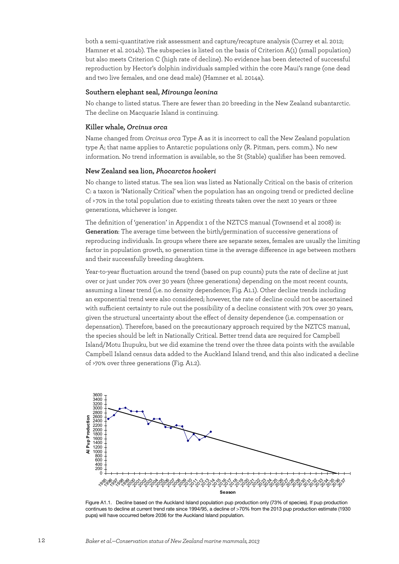both a semi-quantitative risk assessment and capture/recapture analysis (Currey et al. 2012; Hamner et al. 2014b). The subspecies is listed on the basis of Criterion A(1) (small population) but also meets Criterion C (high rate of decline). No evidence has been detected of successful reproduction by Hector's dolphin individuals sampled within the core Maui's range (one dead and two live females, and one dead male) (Hamner et al. 2014a).

### **Southern elephant seal,** *Mirounga leonina*

No change to listed status. There are fewer than 20 breeding in the New Zealand subantarctic. The decline on Macquarie Island is continuing.

#### **Killer whale,** *Orcinus orca*

Name changed from *Orcinus orca* Type A as it is incorrect to call the New Zealand population type A; that name applies to Antarctic populations only (R. Pitman, pers. comm.). No new information. No trend information is available, so the St (Stable) qualifier has been removed.

#### **New Zealand sea lion,** *Phocarctos hookeri*

No change to listed status. The sea lion was listed as Nationally Critical on the basis of criterion C: a taxon is 'Nationally Critical' when the population has an ongoing trend or predicted decline of > 70% in the total population due to existing threats taken over the next 10 years or three generations, whichever is longer.

The definition of 'generation' in Appendix 1 of the NZTCS manual (Townsend et al 2008) is: **Generation**: The average time between the birth/germination of successive generations of reproducing individuals. In groups where there are separate sexes, females are usually the limiting factor in population growth, so generation time is the average difference in age between mothers and their successfully breeding daughters.

Year-to-year fluctuation around the trend (based on pup counts) puts the rate of decline at just over or just under 70% over 30 years (three generations) depending on the most recent counts, assuming a linear trend (i.e. no density dependence; Fig. A1.1). Other decline trends including an exponential trend were also considered; however, the rate of decline could not be ascertained with sufficient certainty to rule out the possibility of a decline consistent with 70% over 30 years, given the structural uncertainty about the effect of density dependence (i.e. compensation or depensation). Therefore, based on the precautionary approach required by the NZTCS manual, the species should be left in Nationally Critical. Better trend data are required for Campbell Island/Motu Ihupuku, but we did examine the trend over the three data points with the available Campbell Island census data added to the Auckland Island trend, and this also indicated a decline of >70% over three generations (Fig. A1.2).



Figure A1.1. Decline based on the Auckland Island population pup production only (73% of species). If pup production continues to decline at current trend rate since 1994/95, a decline of >70% from the 2013 pup production estimate (1930 pups) will have occurred before 2036 for the Auckland Island population.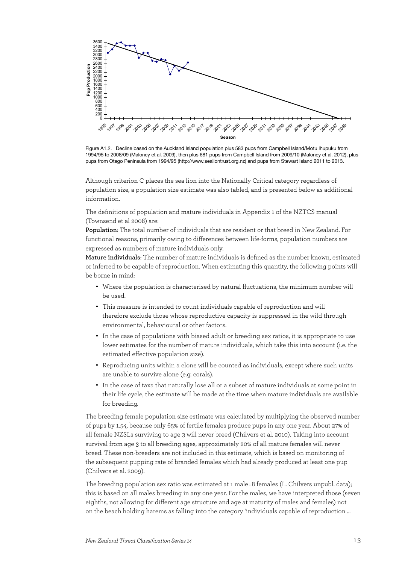

Figure A1.2. Decline based on the Auckland Island population plus 583 pups from Campbell Island/Motu Ihupuku from 1994/95 to 2008/09 (Maloney et al. 2009), then plus 681 pups from Campbell Island from 2009/10 (Maloney et al. 2012), plus pups from Otago Peninsula from 1994/95 (http://www.sealiontrust.org.nz) and pups from Stewart Island 2011 to 2013.

Although criterion C places the sea lion into the Nationally Critical category regardless of population size, a population size estimate was also tabled, and is presented below as additional information.

The definitions of population and mature individuals in Appendix 1 of the NZTCS manual (Townsend et al 2008) are:

**Population**: The total number of individuals that are resident or that breed in New Zealand. For functional reasons, primarily owing to differences between life-forms, population numbers are expressed as numbers of mature individuals only.

**Mature individuals**: The number of mature individuals is defined as the number known, estimated or inferred to be capable of reproduction. When estimating this quantity, the following points will be borne in mind:

- Where the population is characterised by natural fluctuations, the minimum number will be used.
- This measure is intended to count individuals capable of reproduction and will therefore exclude those whose reproductive capacity is suppressed in the wild through environmental, behavioural or other factors.
- In the case of populations with biased adult or breeding sex ratios, it is appropriate to use lower estimates for the number of mature individuals, which take this into account (i.e. the estimated effective population size).
- Reproducing units within a clone will be counted as individuals, except where such units are unable to survive alone (e.g. corals).
- In the case of taxa that naturally lose all or a subset of mature individuals at some point in their life cycle, the estimate will be made at the time when mature individuals are available for breeding.

The breeding female population size estimate was calculated by multiplying the observed number of pups by 1.54, because only 65% of fertile females produce pups in any one year. About 27% of all female NZSLs surviving to age 3 will never breed (Chilvers et al. 2010). Taking into account survival from age 3 to all breeding ages, approximately 20% of all mature females will never breed. These non-breeders are not included in this estimate, which is based on monitoring of the subsequent pupping rate of branded females which had already produced at least one pup (Chilvers et al. 2009).

The breeding population sex ratio was estimated at 1 male : 8 females (L. Chilvers unpubl. data); this is based on all males breeding in any one year. For the males, we have interpreted those (seven eighths, not allowing for different age structure and age at maturity of males and females) not on the beach holding harems as falling into the category 'individuals capable of reproduction ...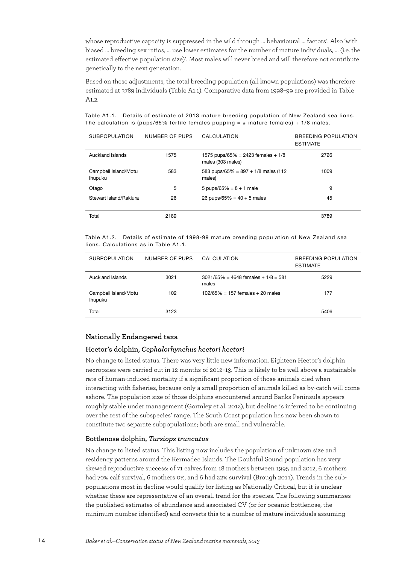whose reproductive capacity is suppressed in the wild through … behavioural … factors'. Also 'with biased … breeding sex ratios, … use lower estimates for the number of mature individuals, … (i.e. the estimated effective population size)'. Most males will never breed and will therefore not contribute genetically to the next generation.

Based on these adjustments, the total breeding population (all known populations) was therefore estimated at 3789 individuals (Table A1.1). Comparative data from 1998–99 are provided in Table A1.2.

Table A1.1. Details of estimate of 2013 mature breeding population of New Zealand sea lions. The calculation is (pups/65% fertile females pupping  $=$  # mature females) + 1/8 males.

| <b>SUBPOPULATION</b>                   | NUMBER OF PUPS | CALCULATION                                             | BREEDING POPULATION<br><b>ESTIMATE</b> |
|----------------------------------------|----------------|---------------------------------------------------------|----------------------------------------|
| Auckland Islands                       | 1575           | 1575 pups/65% = 2423 females + 1/8<br>males (303 males) | 2726                                   |
| Campbell Island/Motu<br><b>Ihupuku</b> | 583            | 583 pups/65% = $897 + 1/8$ males (112)<br>males)        | 1009                                   |
| Otago                                  | 5              | 5 pups/65% = $8 + 1$ male                               | 9                                      |
| Stewart Island/Rakiura                 | 26             | 26 pups/65% = $40 + 5$ males                            | 45                                     |
| Total                                  | 2189           |                                                         | 3789                                   |

Table A1.2. Details of estimate of 1998-99 mature breeding population of New Zealand sea lions. Calculations as in Table A1.1.

| <b>SUBPOPULATION</b>                   | NUMBER OF PUPS | CALCULATION                                       | BREEDING POPULATION<br><b>ESTIMATE</b> |
|----------------------------------------|----------------|---------------------------------------------------|----------------------------------------|
| Auckland Islands                       | 3021           | $3021/65\% = 4648$ females + $1/8 = 581$<br>males | 5229                                   |
| Campbell Island/Motu<br><b>Ihupuku</b> | 102            | $102/65\% = 157$ females + 20 males               | 177                                    |
| Total                                  | 3123           |                                                   | 5406                                   |

### **Nationally Endangered taxa**

### **Hector's dolphin,** *Cephalorhynchus hectori hectori*

No change to listed status. There was very little new information. Eighteen Hector's dolphin necropsies were carried out in 12 months of 2012–13. This is likely to be well above a sustainable rate of human-induced mortality if a significant proportion of those animals died when interacting with fisheries, because only a small proportion of animals killed as by-catch will come ashore. The population size of those dolphins encountered around Banks Peninsula appears roughly stable under management (Gormley et al. 2012), but decline is inferred to be continuing over the rest of the subspecies' range. The South Coast population has now been shown to constitute two separate subpopulations; both are small and vulnerable.

#### **Bottlenose dolphin,** *Tursiops truncatus*

No change to listed status. This listing now includes the population of unknown size and residency patterns around the Kermadec Islands. The Doubtful Sound population has very skewed reproductive success: of 71 calves from 18 mothers between 1995 and 2012, 6 mothers had 70% calf survival, 6 mothers 0%, and 6 had 22% survival (Brough 2013). Trends in the subpopulations most in decline would qualify for listing as Nationally Critical, but it is unclear whether these are representative of an overall trend for the species. The following summarises the published estimates of abundance and associated CV (or for oceanic bottlenose, the minimum number identified) and converts this to a number of mature individuals assuming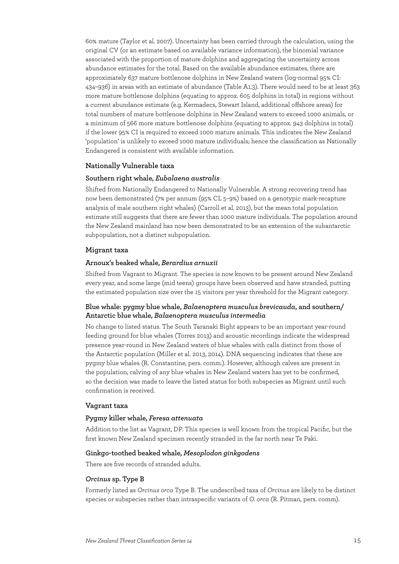60% mature (Taylor et al. 2007). Uncertainty has been carried through the calculation, using the original CV (or an estimate based on available variance information), the binomial variance associated with the proportion of mature dolphins and aggregating the uncertainty across abundance estimates for the total. Based on the available abundance estimates, there are approximately 637 mature bottlenose dolphins in New Zealand waters (log-normal 95% CI: 434–936) in areas with an estimate of abundance (Table A1.3). There would need to be at least 363 more mature bottlenose dolphins (equating to approx. 605 dolphins in total) in regions without a current abundance estimate (e.g. Kermadecs, Stewart Island, additional offshore areas) for total numbers of mature bottlenose dolphins in New Zealand waters to exceed 1000 animals, or a minimum of 566 more mature bottlenose dolphins (equating to approx. 943 dolphins in total) if the lower 95% CI is required to exceed 1000 mature animals. This indicates the New Zealand 'population' is unlikely to exceed 1000 mature individuals; hence the classification as Nationally Endangered is consistent with available information.

### **Nationally Vulnerable taxa**

#### **Southern right whale,** *Eubalaena australis*

Shifted from Nationally Endangered to Nationally Vulnerable. A strong recovering trend has now been demonstrated (7% per annum (95% CL 5–9%) based on a genotypic mark-recapture analysis of male southern right whales) (Carroll et al. 2013), but the mean total population estimate still suggests that there are fewer than 1000 mature individuals. The population around the New Zealand mainland has now been demonstrated to be an extension of the subantarctic subpopulation, not a distinct subpopulation.

### **Migrant taxa**

### **Arnoux's beaked whale,** *Berardius arnuxii*

Shifted from Vagrant to Migrant. The species is now known to be present around New Zealand every year, and some large (mid teens) groups have been observed and have stranded, putting the estimated population size over the 15 visitors per year threshold for the Migrant category.

### **Blue whale: pygmy blue whale,** *Balaenoptera musculus brevicauda***, and southern/ Antarctic blue whale,** *Balaenoptera musculus intermedia*

No change to listed status. The South Taranaki Bight appears to be an important year-round feeding ground for blue whales (Torres 2013) and acoustic recordings indicate the widespread presence year-round in New Zealand waters of blue whales with calls distinct from those of the Antarctic population (Miller et al. 2013, 2014). DNA sequencing indicates that these are pygmy blue whales (R. Constantine, pers. comm.). However, although calves are present in the population, calving of any blue whales in New Zealand waters has yet to be confirmed, so the decision was made to leave the listed status for both subspecies as Migrant until such confirmation is received.

### **Vagrant taxa**

#### **Pygmy killer whale,** *Feresa attenuata*

Addition to the list as Vagrant, DP. This species is well known from the tropical Pacific, but the first known New Zealand specimen recently stranded in the far north near Te Paki.

### **Ginkgo-toothed beaked whale,** *Mesoplodon ginkgodens*

There are five records of stranded adults.

### *Orcinus* **sp. Type B**

Formerly listed as *Orcinus orca* Type B. The undescribed taxa of *Orcinus* are likely to be distinct species or subspecies rather than intraspecific variants of *O. orca* (R. Pitman, pers. comm).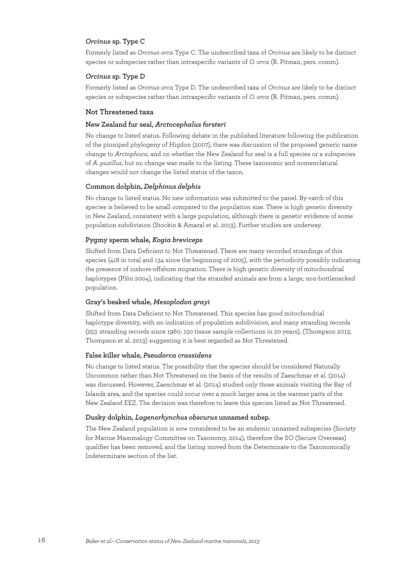### *Orcinus* **sp. Type C**

Formerly listed as *Orcinus orca* Type C. The undescribed taxa of *Orcinus* are likely to be distinct species or subspecies rather than intraspecific variants of *O. orca* (R. Pitman, pers. comm).

### *Orcinus* **sp. Type D**

Formerly listed as *Orcinus orca* Type D. The undescribed taxa of *Orcinus* are likely to be distinct species or subspecies rather than intraspecific variants of *O. orca* (R. Pitman, pers. comm).

### **Not Threatened taxa**

### **New Zealand fur seal,** *Arctocephalus forsteri*

No change to listed status. Following debate in the published literature following the publication of the pinniped phylogeny of Higdon (2007), there was discussion of the proposed generic name change to *Arctophoca*, and on whether the New Zealand fur seal is a full species or a subspecies of *A. pusillus*, but no change was made to the listing. These taxonomic and nomenclatural changes would not change the listed status of the taxon.

### **Common dolphin,** *Delphinus delphis*

No change to listed status. No new information was submitted to the panel. By-catch of this species is believed to be small compared to the population size. There is high genetic diversity in New Zealand, consistent with a large population, although there is genetic evidence of some population subdivision (Stockin & Amaral et al. 2013). Further studies are underway.

### **Pygmy sperm whale,** *Kogia breviceps*

Shifted from Data Deficient to Not Threatened. There are many recorded strandings of this species (418 in total and 134 since the beginning of 2005), with the periodicity possibly indicating the presence of inshore-offshore migration. There is high genetic diversity of mitochondrial haplotypes (Plön 2004), indicating that the stranded animals are from a large, non-bottlenecked population.

### **Gray's beaked whale,** *Mesoplodon grayi*

Shifted from Data Deficient to Not Threatened. This species has good mitochondrial haplotype diversity, with no indication of population subdivision, and many stranding records (253 stranding records since 1960; 150 tissue sample collections in 20 years), (Thompson 2013, Thompson et al. 2013) suggesting it is best regarded as Not Threatened.

### **False killer whale,** *Pseudorca crassidens*

No change to listed status. The possibility that the species should be considered Naturally Uncommon rather than Not Threatened on the basis of the results of Zaeschmar et al. (2014) was discussed. However, Zaeschmar et al. (2014) studied only those animals visiting the Bay of Islands area, and the species could occur over a much larger area in the warmer parts of the New Zealand EEZ. The decision was therefore to leave this species listed as Not Threatened.

### **Dusky dolphin,** *Lagenorhynchus obscurus* **unnamed subsp.**

The New Zealand population is now considered to be an endemic unnamed subspecies (Society for Marine Mammalogy Committee on Taxonomy, 2014), therefore the SO (Secure Overseas) qualifier has been removed, and the listing moved from the Determinate to the Taxonomically Indeterminate section of the list.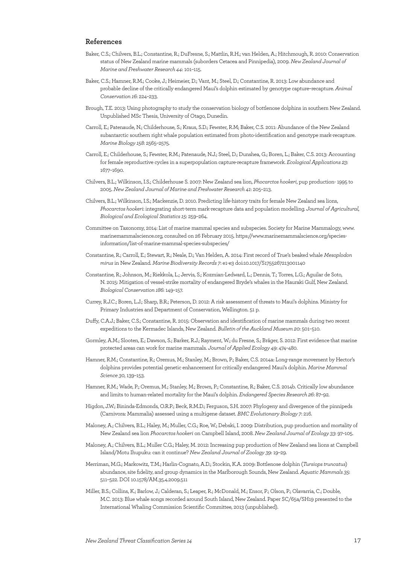### **References**

- Baker, C.S.; Chilvers, B.L.; Constantine, R.; DuFresne, S.; Mattlin, R.H.; van Helden, A.; Hitchmough, R. 2010: Conservation status of New Zealand marine mammals (suborders Cetacea and Pinnipedia), 2009. *New Zealand Journal of Marine and Freshwater Research 44*: 101–115.
- Baker, C.S.; Hamner, R.M.; Cooke, J.; Heimeier, D.; Vant, M.; Steel, D.; Constantine, R. 2013: Low abundance and probable decline of the critically endangered Maui's dolphin estimated by genotype capture–recapture. *Animal Conservation 16*: 224–233.
- Brough, T.E. 2013: Using photography to study the conservation biology of bottlenose dolphins in southern New Zealand. Unpublished MSc Thesis, University of Otago, Dunedin.
- Carroll, E.; Patenaude, N.; Childerhouse, S.; Kraus, S.D.; Fewster, R.M; Baker, C.S. 2011: Abundance of the New Zealand subantarctic southern right whale population estimated from photo-identification and genotype mark-recapture. *Marine Biology 158*: 2565–2575.
- Carroll, E.; Childerhouse, S.; Fewster, R.M.; Patenaude, N.J.; Steel, D.; Dunshea, G.; Boren, L.; Baker, C.S. 2013: Accounting for female reproductive cycles in a superpopulation capture-recapture framework. *Ecological Applications 23*: 1677–1690.
- Chilvers, B.L.; Wilkinson, I.S.; Childerhouse S. 2007: New Zealand sea lion, *Phocarctos hookeri*, pup production- 1995 to 2005. *New Zealand Journal of Marine and Freshwater Research 41*: 205–213.
- Chilvers, B.L.; Wilkinson, I.S.; Mackenzie, D. 2010. Predicting life-history traits for female New Zealand sea lions, *Phocarctos hookeri*: integrating short-term mark-recapture data and population modelling. *Journal of Agricultural, Biological and Ecological Statistics 15*: 259–264.
- Committee on Taxonomy, 2014: List of marine mammal species and subspecies. Society for Marine Mammalogy, www. marinemammalscience.org, consulted on 26 February 2015. https://www.marinemammalscience.org/speciesinformation/list-of-marine-mammal-species-subspecies/
- Constantine, R.; Carroll, E.; Stewart, R.; Neale, D.; Van Helden, A. 2014: First record of True's beaked whale *Mesoplodon mirus* in New Zealand. *Marine Biodiversity Records 7*: e1-e3 doi:10.1017/S1755267213001140
- Constantine, R.; Johnson, M.; Riekkola, L.; Jervis, S.; Kozmian-Ledward, L.; Dennis, T.; Torres, L.G.; Aguilar de Soto, N. 2015: Mitigation of vessel-strike mortality of endangered Bryde's whales in the Hauraki Gulf, New Zealand. *Biological Conservation 186*: 149–157.
- Currey, R.J.C.; Boren, L.J.; Sharp, B.R.; Peterson, D. 2012: A risk assessment of threats to Maui's dolphins. Ministry for Primary Industries and Department of Conservation, Wellington. 51 p.
- Duffy, C.A.J.; Baker, C.S.; Constantine, R. 2015: Observation and identification of marine mammals during two recent expeditions to the Kermadec Islands, New Zealand. *Bulletin of the Auckland Museum 20*: 501–510.
- Gormley, A.M.; Slooten, E.; Dawson, S.; Barker, R.J.; Rayment, W.; du Fresne, S.; Bräger, S. 2012: First evidence that marine protected areas can work for marine mammals. *Journal of Applied Ecology 49*: 474–480.
- Hamner, R.M.; Constantine, R.; Oremus, M.; Stanley, M.; Brown, P.; Baker, C.S. 2014a: Long-range movement by Hector's dolphins provides potential genetic enhancement for critically endangered Maui's dolphin. *Marine Mammal Science 30*, 139–153.
- Hamner, R.M.; Wade, P.; Oremus, M.; Stanley, M.; Brown, P.; Constantine, R.; Baker, C.S. 2014b. Critically low abundance and limits to human-related mortality for the Maui's dolphin. *Endangered Species Research 26*: 87–92.
- Higdon, J.W.; Bininda-Edmonds, O.R.P.; Beck, R.M.D.; Ferguson, S.H. 2007: Phylogeny and divergence of the pinnipeds (Carnivora: Mammalia) assessed using a multigene dataset. *BMC Evolutionary Biology 7*: 216.
- Maloney, A.; Chilvers, B.L.; Haley, M.; Muller, C.G.; Roe, W.; Debski, I. 2009: Distribution, pup production and mortality of New Zealand sea lion *Phocarctos hookeri* on Campbell Island, 2008. *New Zealand Journal of Ecology 33*: 97–105.
- Maloney, A.; Chilvers, B.L.; Muller C.G.; Haley, M. 2012: Increasing pup production of New Zealand sea lions at Campbell Island/Motu Ihupuku: can it continue? *New Zealand Journal of Zoology 39*: 19–29.
- Merriman, M.G.; Markowitz, T.M.; Harlin-Cognato, A.D.; Stockin, K.A. 2009: Bottlenose dolphin (*Tursiops truncatus*) abundance, site fidelity, and group dynamics in the Marlborough Sounds, New Zealand. *Aquatic Mammals 35*: 511–522. DOI 10.1578/AM.35.4.2009.511
- Miller, B.S.; Collins, K.; Barlow, J.; Calderan, S.; Leaper, R.; McDonald, M.; Ensor, P.; Olson, P.; Olavarria, C.; Double, M.C. 2013: Blue whale songs recorded around South Island, New Zealand. Paper SC/65a/SH19 presented to the International Whaling Commission Scientific Committee, 2013 (unpublished).